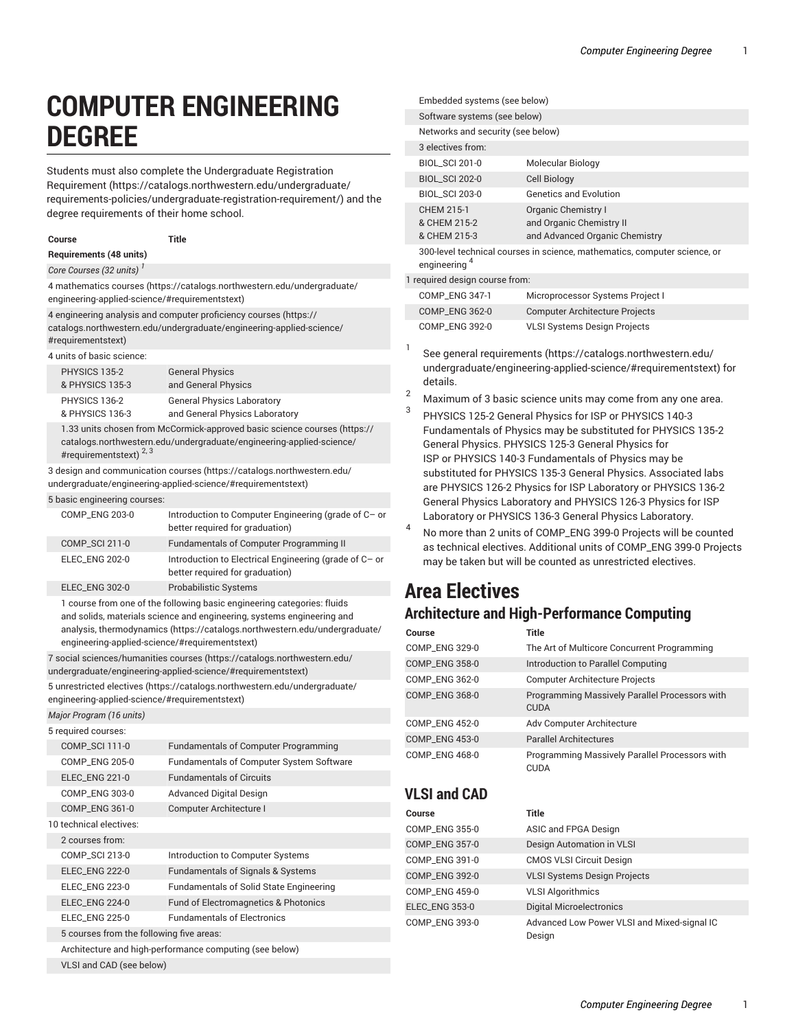# **COMPUTER ENGINEERING DEGREE**

Students must also complete the [Undergraduate](https://catalogs.northwestern.edu/undergraduate/requirements-policies/undergraduate-registration-requirement/) Registration [Requirement](https://catalogs.northwestern.edu/undergraduate/requirements-policies/undergraduate-registration-requirement/) ([https://catalogs.northwestern.edu/undergraduate/](https://catalogs.northwestern.edu/undergraduate/requirements-policies/undergraduate-registration-requirement/) [requirements-policies/undergraduate-registration-requirement/\)](https://catalogs.northwestern.edu/undergraduate/requirements-policies/undergraduate-registration-requirement/) and the degree requirements of their home school.

**Course Title Requirements (48 units)** *Core Courses (32 units) 1* [4 mathematics courses](https://catalogs.northwestern.edu/undergraduate/engineering-applied-science/#requirementstext) [\(https://catalogs.northwestern.edu/undergraduate/](https://catalogs.northwestern.edu/undergraduate/engineering-applied-science/#requirementstext) [engineering-applied-science/#requirementstext\)](https://catalogs.northwestern.edu/undergraduate/engineering-applied-science/#requirementstext)

4 [engineering](https://catalogs.northwestern.edu/undergraduate/engineering-applied-science/#requirementstext) analysis and computer proficiency courses ([https://](https://catalogs.northwestern.edu/undergraduate/engineering-applied-science/#requirementstext) [catalogs.northwestern.edu/undergraduate/engineering-applied-science/](https://catalogs.northwestern.edu/undergraduate/engineering-applied-science/#requirementstext) [#requirementstext](https://catalogs.northwestern.edu/undergraduate/engineering-applied-science/#requirementstext))

4 units of basic science:

| PHYSICS 135-2   | <b>General Physics</b>            |
|-----------------|-----------------------------------|
| & PHYSICS 135-3 | and General Physics               |
| PHYSICS 136-2   | <b>General Physics Laboratory</b> |
| & PHYSICS 136-3 | and General Physics Laboratory    |

1.33 units chosen from [McCormick-approved](https://catalogs.northwestern.edu/undergraduate/engineering-applied-science/#requirementstext) basic science courses ([https://](https://catalogs.northwestern.edu/undergraduate/engineering-applied-science/#requirementstext) [catalogs.northwestern.edu/undergraduate/engineering-applied-science/](https://catalogs.northwestern.edu/undergraduate/engineering-applied-science/#requirementstext) [#requirementstext](https://catalogs.northwestern.edu/undergraduate/engineering-applied-science/#requirementstext)) <sup>2, 3</sup>

[3 design and communication courses](https://catalogs.northwestern.edu/undergraduate/engineering-applied-science/#requirementstext) [\(https://catalogs.northwestern.edu/](https://catalogs.northwestern.edu/undergraduate/engineering-applied-science/#requirementstext) [undergraduate/engineering-applied-science/#requirementstext\)](https://catalogs.northwestern.edu/undergraduate/engineering-applied-science/#requirementstext)

#### 5 basic engineering courses:

| <b>COMP ENG 203-0</b> | Introduction to Computer Engineering (grade of C- or<br>better required for graduation)   |
|-----------------------|-------------------------------------------------------------------------------------------|
| COMP_SCI 211-0        | Fundamentals of Computer Programming II                                                   |
| ELEC ENG 202-0        | Introduction to Electrical Engineering (grade of C- or<br>better required for graduation) |
| <b>ELEC_ENG 302-0</b> | <b>Probabilistic Systems</b>                                                              |

1 course from one of the following basic [engineering](https://catalogs.northwestern.edu/undergraduate/engineering-applied-science/#requirementstext) categories: fluids [and solids, materials science and engineering, systems engineering and](https://catalogs.northwestern.edu/undergraduate/engineering-applied-science/#requirementstext) [analysis, thermodynamics](https://catalogs.northwestern.edu/undergraduate/engineering-applied-science/#requirementstext) [\(https://catalogs.northwestern.edu/undergraduate/](https://catalogs.northwestern.edu/undergraduate/engineering-applied-science/#requirementstext) [engineering-applied-science/#requirementstext\)](https://catalogs.northwestern.edu/undergraduate/engineering-applied-science/#requirementstext)

[7 social sciences/humanities courses](https://catalogs.northwestern.edu/undergraduate/engineering-applied-science/#requirementstext) ([https://catalogs.northwestern.edu/](https://catalogs.northwestern.edu/undergraduate/engineering-applied-science/#requirementstext) [undergraduate/engineering-applied-science/#requirementstext\)](https://catalogs.northwestern.edu/undergraduate/engineering-applied-science/#requirementstext)

5 [unrestricted](https://catalogs.northwestern.edu/undergraduate/engineering-applied-science/#requirementstext) electives [\(https://catalogs.northwestern.edu/undergraduate/](https://catalogs.northwestern.edu/undergraduate/engineering-applied-science/#requirementstext) [engineering-applied-science/#requirementstext\)](https://catalogs.northwestern.edu/undergraduate/engineering-applied-science/#requirementstext)

*Major Program (16 units)*

| 5 required courses:                                     |                                          |                                                 |
|---------------------------------------------------------|------------------------------------------|-------------------------------------------------|
|                                                         | COMP_SCI 111-0                           | <b>Fundamentals of Computer Programming</b>     |
|                                                         | COMP_ENG 205-0                           | <b>Fundamentals of Computer System Software</b> |
|                                                         | <b>ELEC_ENG 221-0</b>                    | <b>Fundamentals of Circuits</b>                 |
|                                                         | <b>COMP ENG 303-0</b>                    | <b>Advanced Digital Design</b>                  |
|                                                         | COMP_ENG 361-0                           | Computer Architecture I                         |
|                                                         | 10 technical electives:                  |                                                 |
|                                                         | 2 courses from:                          |                                                 |
|                                                         | <b>COMP SCI 213-0</b>                    | Introduction to Computer Systems                |
|                                                         | <b>ELEC ENG 222-0</b>                    | <b>Fundamentals of Signals &amp; Systems</b>    |
|                                                         | <b>ELEC ENG 223-0</b>                    | <b>Fundamentals of Solid State Engineering</b>  |
|                                                         | <b>ELEC_ENG 224-0</b>                    | Fund of Electromagnetics & Photonics            |
|                                                         | <b>ELEC_ENG 225-0</b>                    | <b>Fundamentals of Electronics</b>              |
|                                                         | 5 courses from the following five areas: |                                                 |
| Architecture and high-performance computing (see below) |                                          |                                                 |
|                                                         | VLSI and CAD (see below)                 |                                                 |

|                                | Embedded systems (see below)               |                                                                                   |
|--------------------------------|--------------------------------------------|-----------------------------------------------------------------------------------|
|                                | Software systems (see below)               |                                                                                   |
|                                | Networks and security (see below)          |                                                                                   |
|                                | 3 electives from:                          |                                                                                   |
|                                | <b>BIOL SCI 201-0</b>                      | Molecular Biology                                                                 |
|                                | <b>BIOL SCI 202-0</b>                      | Cell Biology                                                                      |
|                                | <b>BIOL SCI 203-0</b>                      | <b>Genetics and Evolution</b>                                                     |
|                                | CHFM 215-1<br>& CHEM 215-2<br>& CHEM 215-3 | Organic Chemistry I<br>and Organic Chemistry II<br>and Advanced Organic Chemistry |
|                                | engineering <sup>4</sup>                   | 300-level technical courses in science, mathematics, computer science, or         |
| 1 required design course from: |                                            |                                                                                   |
|                                | COMP_ENG 347-1                             | Microprocessor Systems Project I                                                  |
|                                |                                            |                                                                                   |

| $\cup$ $\cup$ $\cdots$ $\cup$ $\cup$ $\cup$ $\cdots$ | <u>moroprocessor</u> execute reject i |
|------------------------------------------------------|---------------------------------------|
| <b>COMP ENG 362-0</b>                                | <b>Computer Architecture Projects</b> |
| <b>COMP ENG 392-0</b>                                | <b>VLSI Systems Design Projects</b>   |

1 See general [requirements](https://catalogs.northwestern.edu/undergraduate/engineering-applied-science/#requirementstext) ([https://catalogs.northwestern.edu/](https://catalogs.northwestern.edu/undergraduate/engineering-applied-science/#requirementstext) [undergraduate/engineering-applied-science/#requirementstext\)](https://catalogs.northwestern.edu/undergraduate/engineering-applied-science/#requirementstext) for details.

- $2^2$  Maximum of 3 basic science units may come from any one area.
- 3 PHYSICS 125-2 General Physics for ISP or PHYSICS 140-3 Fundamentals of Physics may be substituted for PHYSICS 135-2 General Physics. PHYSICS 125-3 General Physics for ISP or PHYSICS 140-3 Fundamentals of Physics may be substituted for PHYSICS 135-3 General Physics. Associated labs are PHYSICS 126-2 Physics for ISP Laboratory or PHYSICS 136-2 General Physics Laboratory and PHYSICS 126-3 Physics for ISP Laboratory or PHYSICS 136-3 General Physics Laboratory.
- 4 No more than 2 units of COMP\_ENG 399-0 Projects will be counted as technical electives. Additional units of COMP\_ENG 399-0 Projects may be taken but will be counted as unrestricted electives.

# **Area Electives**

#### **Architecture and High-Performance Computing**

| Course                | Title                                                         |
|-----------------------|---------------------------------------------------------------|
| COMP_ENG 329-0        | The Art of Multicore Concurrent Programming                   |
| COMP_ENG 358-0        | Introduction to Parallel Computing                            |
| <b>COMP ENG 362-0</b> | <b>Computer Architecture Projects</b>                         |
| <b>COMP ENG 368-0</b> | Programming Massively Parallel Processors with<br><b>CUDA</b> |
| COMP_ENG 452-0        | Adv Computer Architecture                                     |
| <b>COMP_ENG 453-0</b> | <b>Parallel Architectures</b>                                 |
| COMP_ENG 468-0        | Programming Massively Parallel Processors with<br><b>CUDA</b> |

#### **VLSI and CAD**

| Course                | Title                                                 |
|-----------------------|-------------------------------------------------------|
| COMP_ENG 355-0        | ASIC and FPGA Design                                  |
| COMP_ENG 357-0        | Design Automation in VLSI                             |
| COMP_ENG 391-0        | <b>CMOS VLSI Circuit Design</b>                       |
| COMP_ENG 392-0        | <b>VLSI Systems Design Projects</b>                   |
| COMP_ENG 459-0        | <b>VLSI Algorithmics</b>                              |
| <b>ELEC_ENG 353-0</b> | <b>Digital Microelectronics</b>                       |
| COMP_ENG 393-0        | Advanced Low Power VLSI and Mixed-signal IC<br>Design |